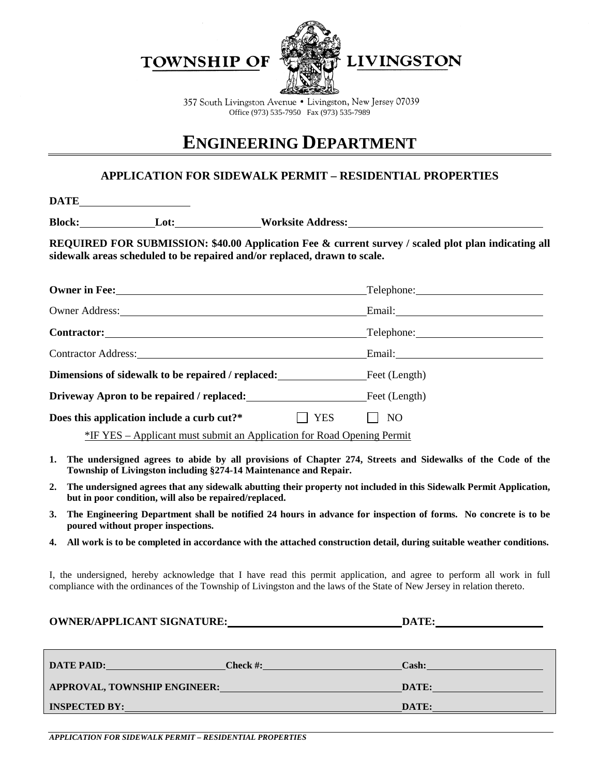**TOWNSHIP OF** 



357 South Livingston Avenue • Livingston, New Jersey 07039 Office (973) 535-7950 Fax (973) 535-7989

## **ENGINEERING DEPARTMENT**

## **APPLICATION FOR SIDEWALK PERMIT – RESIDENTIAL PROPERTIES**

**DATE**

**Block: Lot: Worksite Address:**

**REQUIRED FOR SUBMISSION: \$40.00 Application Fee & current survey / scaled plot plan indicating all sidewalk areas scheduled to be repaired and/or replaced, drawn to scale.**

|                                                                               |            | Telephone: The Contract of the Contract of the Contract of the Contract of the Contract of the Contract of the Contract of the Contract of the Contract of the Contract of the Contract of the Contract of the Contract of the |  |  |
|-------------------------------------------------------------------------------|------------|--------------------------------------------------------------------------------------------------------------------------------------------------------------------------------------------------------------------------------|--|--|
| Owner Address: <u>Communication</u>                                           |            |                                                                                                                                                                                                                                |  |  |
|                                                                               |            | Telephone:                                                                                                                                                                                                                     |  |  |
| <b>Contractor Address:</b>                                                    |            |                                                                                                                                                                                                                                |  |  |
| <b>Dimensions of sidewalk to be repaired / replaced:</b> Feet (Length)        |            |                                                                                                                                                                                                                                |  |  |
| <b>Driveway Apron to be repaired / replaced:</b> Feet (Length)                |            |                                                                                                                                                                                                                                |  |  |
| Does this application include a curb cut?*                                    | <b>YES</b> | NO                                                                                                                                                                                                                             |  |  |
| <u>*IF YES – Applicant must submit an Application for Road Opening Permit</u> |            |                                                                                                                                                                                                                                |  |  |

- **1. The undersigned agrees to abide by all provisions of Chapter 274, Streets and Sidewalks of the Code of the Township of Livingston including §274-14 Maintenance and Repair.**
- **2. The undersigned agrees that any sidewalk abutting their property not included in this Sidewalk Permit Application, but in poor condition, will also be repaired/replaced.**
- **3. The Engineering Department shall be notified 24 hours in advance for inspection of forms. No concrete is to be poured without proper inspections.**
- **4. All work is to be completed in accordance with the attached construction detail, during suitable weather conditions.**

I, the undersigned, hereby acknowledge that I have read this permit application, and agree to perform all work in full compliance with the ordinances of the Township of Livingston and the laws of the State of New Jersey in relation thereto.

| <b>OWNER/APPLICANT SIGNATURE:</b>                |                                                                                                                                                                                                                                                         | DATE:                                                 |
|--------------------------------------------------|---------------------------------------------------------------------------------------------------------------------------------------------------------------------------------------------------------------------------------------------------------|-------------------------------------------------------|
| <b>DATE PAID:</b><br><u> Andrew Maria (1986)</u> | <b>Check #:</b><br><u> Albanya di Bandar Bandar Bandar Bandar Bandar Bandar Bandar Bandar Bandar Bandar Bandar Bandar Bandar Bandar Bandar Bandar Bandar Bandar Bandar Bandar Bandar Bandar Bandar Bandar Bandar Bandar Bandar Bandar Bandar Bandar</u> | Cash:<br>the control of the control of the control of |
| <b>APPROVAL, TOWNSHIP ENGINEER:</b>              | a de la construcción de la construcción de la construcción de la construcción de la construcción de la construcción                                                                                                                                     | DATE:                                                 |
| <b>INSPECTED BY:</b>                             | the control of the control of the control of the control of the control of the control of the control of the control of the control of the control of the control of the control of the control of the control of the control                           | DATE:                                                 |

*APPLICATION FOR SIDEWALK PERMIT – RESIDENTIAL PROPERTIES*